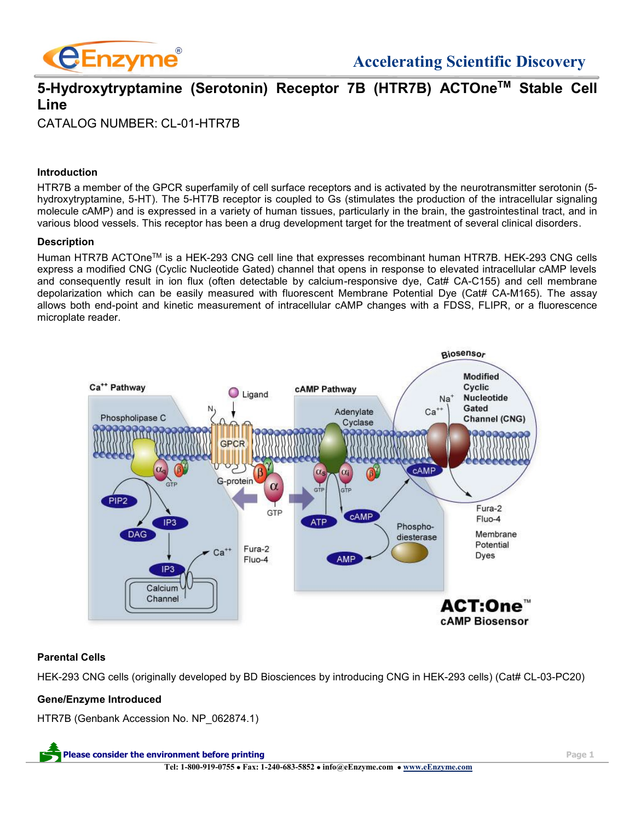

# **5-Hydroxytryptamine (Serotonin) Receptor 7B (HTR7B) ACTOneTM Stable Cell Line**

CATALOG NUMBER: CL-01-HTR7B

## **Introduction**

HTR7B a member of the GPCR superfamily of cell surface receptors and is activated by the neurotransmitter serotonin (5 hydroxytryptamine, 5-HT). The 5-HT7B receptor is coupled to Gs (stimulates the production of the intracellular signaling molecule cAMP) and is expressed in a variety of human tissues, particularly in the brain, the gastrointestinal tract, and in various blood vessels. This receptor has been a drug development target for the treatment of several clinical disorders.

#### **Description**

Human HTR7B ACTOneTM is a HEK-293 CNG cell line that expresses recombinant human HTR7B. HEK-293 CNG cells express a modified CNG (Cyclic Nucleotide Gated) channel that opens in response to elevated intracellular cAMP levels and consequently result in ion flux (often detectable by calcium-responsive dye, Cat# CA-C155) and cell membrane depolarization which can be easily measured with fluorescent Membrane Potential Dye (Cat# CA-M165). The assay allows both end-point and kinetic measurement of intracellular cAMP changes with a FDSS, FLIPR, or a fluorescence microplate reader.



# **Parental Cells**

HEK-293 CNG cells (originally developed by BD Biosciences by introducing CNG in HEK-293 cells) (Cat# CL-03-PC20)

# **Gene/Enzyme Introduced**

HTR7B (Genbank Accession No. NP\_062874.1)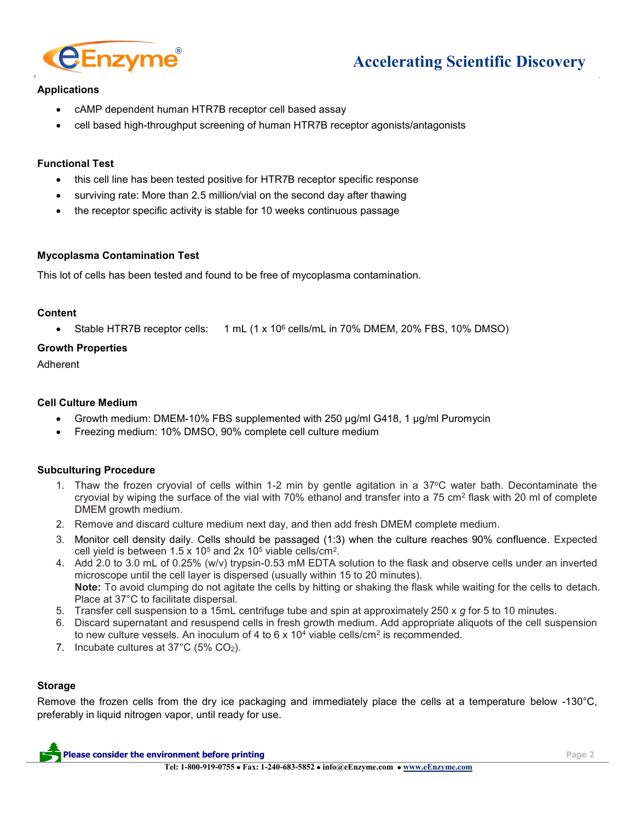

# **Accelerating Scientific Discovery**

# **Applications**

- cAMP dependent human HTR7B receptor cell based assay
- cell based high-throughput screening of human HTR7B receptor agonists/antagonists

## **Functional Test**

- this cell line has been tested positive for HTR7B receptor specific response
- surviving rate: More than 2.5 million/vial on the second day after thawing
- the receptor specific activity is stable for 10 weeks continuous passage

#### **Mycoplasma Contamination Test**

This lot of cells has been tested and found to be free of mycoplasma contamination.

#### **Content**

• Stable HTR7B receptor cells: 1 mL (1 x 10<sup>6</sup> cells/mL in 70% DMEM, 20% FBS, 10% DMSO)

# **Growth Properties**

Adherent

# **Cell Culture Medium**

- Growth medium: DMEM-10% FBS supplemented with 250 µg/ml G418, 1 µg/ml Puromycin
- Freezing medium: 10% DMSO, 90% complete cell culture medium

#### **Subculturing Procedure**

- 1. Thaw the frozen cryovial of cells within 1-2 min by gentle agitation in a 37<sup>o</sup>C water bath. Decontaminate the cryovial by wiping the surface of the vial with 70% ethanol and transfer into a 75 cm<sup>2</sup> flask with 20 ml of complete DMEM growth medium.
- 2. Remove and discard culture medium next day, and then add fresh DMEM complete medium.
- 3. Monitor cell density daily. Cells should be passaged (1:3) when the culture reaches 90% confluence. Expected cell yield is between 1.5 x 10<sup>5</sup> and 2x 10<sup>5</sup> viable cells/cm<sup>2</sup>.
- 4. Add 2.0 to 3.0 mL of 0.25% (w/v) trypsin-0.53 mM EDTA solution to the flask and observe cells under an inverted microscope until the cell layer is dispersed (usually within 15 to 20 minutes). **Note:** To avoid clumping do not agitate the cells by hitting or shaking the flask while waiting for the cells to detach. Place at 37°C to facilitate dispersal.
- 5. Transfer cell suspension to a 15mL centrifuge tube and spin at approximately 250 x *g* for 5 to 10 minutes.
- 6. Discard supernatant and resuspend cells in fresh growth medium. Add appropriate aliquots of the cell suspension to new culture vessels. An inoculum of 4 to 6 x 10<sup>4</sup> viable cells/cm<sup>2</sup> is recommended.
- 7. Incubate cultures at 37°C (5% CO2).

#### **Storage**

Remove the frozen cells from the dry ice packaging and immediately place the cells at a temperature below -130°C, preferably in liquid nitrogen vapor, until ready for use.